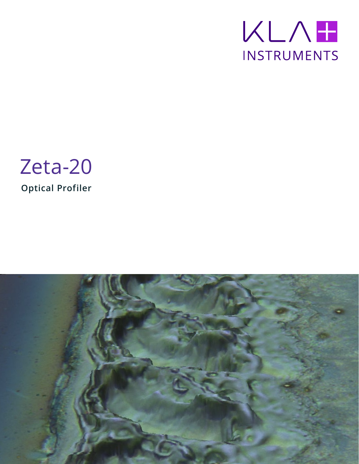



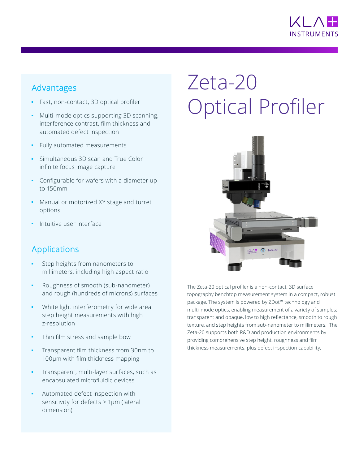

# Advantages

- Fast, non-contact, 3D optical profiler
- Multi-mode optics supporting 3D scanning, interference contrast, film thickness and automated defect inspection
- Fully automated measurements
- Simultaneous 3D scan and True Color infinite focus image capture
- Configurable for wafers with a diameter up to 150mm
- Manual or motorized XY stage and turret options
- **•** Intuitive user interface

## Applications

- **•** Step heights from nanometers to millimeters, including high aspect ratio
- Roughness of smooth (sub-nanometer) and rough (hundreds of microns) surfaces
- White light interferometry for wide area step height measurements with high z-resolution
- Thin film stress and sample bow
- **•** Transparent film thickness from 30nm to 100µm with film thickness mapping
- Transparent, multi-layer surfaces, such as encapsulated microfluidic devices
- Automated defect inspection with sensitivity for defects > 1µm (lateral dimension)

# Zeta-20 Optical Profiler



The Zeta-20 optical profiler is a non-contact, 3D surface topography benchtop measurement system in a compact, robust package. The system is powered by ZDot™ technology and multi-mode optics, enabling measurement of a variety of samples: transparent and opaque, low to high reflectance, smooth to rough texture, and step heights from sub-nanometer to millimeters. The Zeta-20 supports both R&D and production environments by providing comprehensive step height, roughness and film thickness measurements, plus defect inspection capability.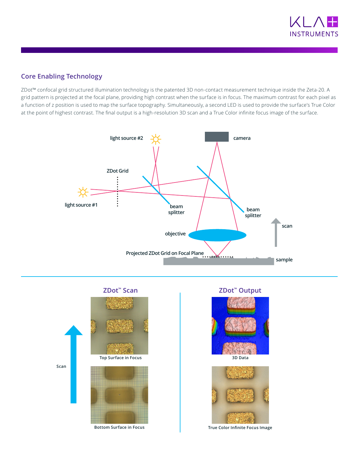

### **Core Enabling Technology**

ZDot™ confocal grid structured illumination technology is the patented 3D non-contact measurement technique inside the Zeta-20. A grid pattern is projected at the focal plane, providing high contrast when the surface is in focus. The maximum contrast for each pixel as a function of z position is used to map the surface topography. Simultaneously, a second LED is used to provide the surface's True Color at the point of highest contrast. The final output is a high-resolution 3D scan and a True Color infinite focus image of the surface.







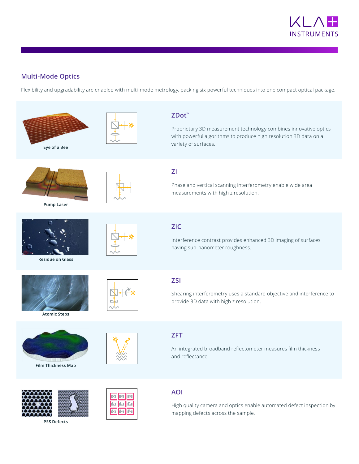

### **Multi-Mode Optics**

Flexibility and upgradability are enabled with multi-mode metrology, packing six powerful techniques into one compact optical package.

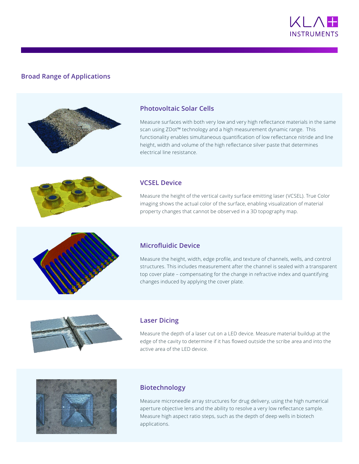

#### **Broad Range of Applications**



#### **Photovoltaic Solar Cells**

Measure surfaces with both very low and very high reflectance materials in the same scan using ZDot™ technology and a high measurement dynamic range. This functionality enables simultaneous quantification of low reflectance nitride and line height, width and volume of the high reflectance silver paste that determines electrical line resistance.

#### **VCSEL Device**

Measure the height of the vertical cavity surface emitting laser (VCSEL). True Color imaging shows the actual color of the surface, enabling visualization of material property changes that cannot be observed in a 3D topography map.



#### **Microfluidic Device**

Measure the height, width, edge profile, and texture of channels, wells, and control structures. This includes measurement after the channel is sealed with a transparent top cover plate – compensating for the change in refractive index and quantifying changes induced by applying the cover plate.



#### **Laser Dicing**

Measure the depth of a laser cut on a LED device. Measure material buildup at the edge of the cavity to determine if it has flowed outside the scribe area and into the active area of the LED device.



#### **Biotechnology**

Measure microneedle array structures for drug delivery, using the high numerical aperture objective lens and the ability to resolve a very low reflectance sample. Measure high aspect ratio steps, such as the depth of deep wells in biotech applications.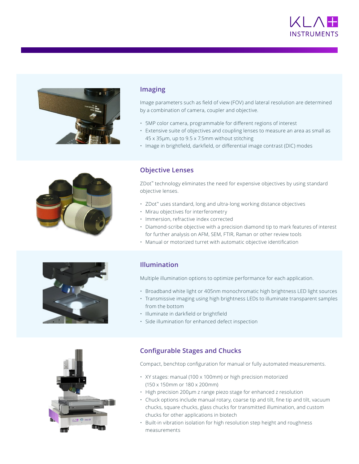



#### **Imaging**

Image parameters such as field of view (FOV) and lateral resolution are determined by a combination of camera, coupler and objective.

- 5MP color camera, programmable for different regions of interest
- Extensive suite of objectives and coupling lenses to measure an area as small as 45 x 35µm, up to 9.5 x 7.5mm without stitching
- Image in brightfield, darkfield, or differential image contrast (DIC) modes



#### **Objective Lenses**

ZDot<sup>™</sup> technology eliminates the need for expensive objectives by using standard objective lenses.

- ZDot™ uses standard, long and ultra-long working distance objectives
- Mirau objectives for interferometry
- Immersion, refractive index corrected
- Diamond-scribe objective with a precision diamond tip to mark features of interest for further analysis on AFM, SEM, FTIR, Raman or other review tools
- Manual or motorized turret with automatic objective identification



#### **Illumination**

Multiple illumination options to optimize performance for each application.

- Broadband white light or 405nm monochromatic high brightness LED light sources
- Transmissive imaging using high brightness LEDs to illuminate transparent samples from the bottom
- Illuminate in darkfield or brightfield
- Side illumination for enhanced defect inspection



Compact, benchtop configuration for manual or fully automated measurements.

- XY stages: manual (100 x 100mm) or high precision motorized (150 x 150mm or 180 x 200mm)
- High precision 200µm z range piezo stage for enhanced z resolution
- Chuck options include manual rotary, coarse tip and tilt, fine tip and tilt, vacuum chucks, square chucks, glass chucks for transmitted illumination, and custom chucks for other applications in biotech
- Built-in vibration isolation for high resolution step height and roughness measurements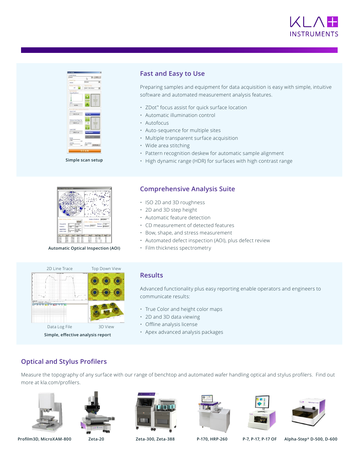



**Simple scan setup**

#### **Fast and Easy to Use**

Preparing samples and equipment for data acquisition is easy with simple, intuitive software and automated measurement analysis features.

- ZDot™ focus assist for quick surface location
- Automatic illumination control
- Autofocus
- Auto-sequence for multiple sites
- Multiple transparent surface acquisition
- Wide area stitching
- Pattern recognition deskew for automatic sample alignment
- High dynamic range (HDR) for surfaces with high contrast range



**Automatic Optical Inspection (AOI)**



#### **Comprehensive Analysis Suite**

- ISO 2D and 3D roughness
- 2D and 3D step height
- Automatic feature detection
- CD measurement of detected features
- Bow, shape, and stress measurement
- Automated defect inspection (AOI), plus defect review
- Film thickness spectrometry



**Simple, effective analysis report**

#### **Results**

Advanced functionality plus easy reporting enable operators and engineers to communicate results:

- True Color and height color maps
- 2D and 3D data viewing
- Offline analysis license
- Apex advanced analysis packages

### **Optical and Stylus Profilers**

Measure the topography of any surface with our range of benchtop and automated wafer handling optical and stylus profilers. Find out more at kla.com/profilers.













**Profilm3D, MicroXAM-800 Zeta-20 Zeta-300, Zeta-388 P-170, HRP-260 P-7, P-17, P-17 OF Alpha-Step® D-500, D-600**